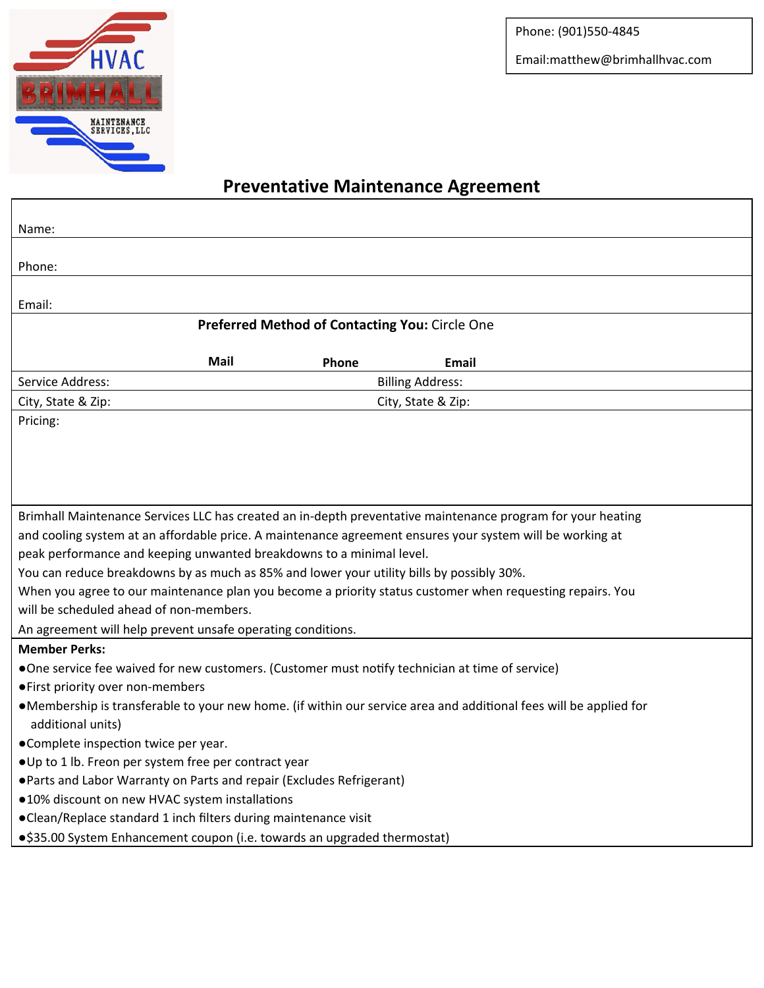

Phone: (901)550‐4845

Email:matthew@brimhallhvac.com

٦

## **Preventative Maintenance Agreement**

| Name:                                                                                                       |                                                                                                                   |                    |              |  |  |  |  |
|-------------------------------------------------------------------------------------------------------------|-------------------------------------------------------------------------------------------------------------------|--------------------|--------------|--|--|--|--|
| Phone:                                                                                                      |                                                                                                                   |                    |              |  |  |  |  |
| Email:                                                                                                      |                                                                                                                   |                    |              |  |  |  |  |
| Preferred Method of Contacting You: Circle One                                                              |                                                                                                                   |                    |              |  |  |  |  |
|                                                                                                             | Mail                                                                                                              | Phone              | <b>Email</b> |  |  |  |  |
| Service Address:                                                                                            | <b>Billing Address:</b>                                                                                           |                    |              |  |  |  |  |
| City, State & Zip:                                                                                          |                                                                                                                   | City, State & Zip: |              |  |  |  |  |
| Pricing:                                                                                                    |                                                                                                                   |                    |              |  |  |  |  |
|                                                                                                             |                                                                                                                   |                    |              |  |  |  |  |
|                                                                                                             |                                                                                                                   |                    |              |  |  |  |  |
|                                                                                                             |                                                                                                                   |                    |              |  |  |  |  |
| Brimhall Maintenance Services LLC has created an in-depth preventative maintenance program for your heating |                                                                                                                   |                    |              |  |  |  |  |
| and cooling system at an affordable price. A maintenance agreement ensures your system will be working at   |                                                                                                                   |                    |              |  |  |  |  |
| peak performance and keeping unwanted breakdowns to a minimal level.                                        |                                                                                                                   |                    |              |  |  |  |  |
| You can reduce breakdowns by as much as 85% and lower your utility bills by possibly 30%.                   |                                                                                                                   |                    |              |  |  |  |  |
| When you agree to our maintenance plan you become a priority status customer when requesting repairs. You   |                                                                                                                   |                    |              |  |  |  |  |
| will be scheduled ahead of non-members.                                                                     |                                                                                                                   |                    |              |  |  |  |  |
| An agreement will help prevent unsafe operating conditions.                                                 |                                                                                                                   |                    |              |  |  |  |  |
| <b>Member Perks:</b>                                                                                        |                                                                                                                   |                    |              |  |  |  |  |
|                                                                                                             | •One service fee waived for new customers. (Customer must notify technician at time of service)                   |                    |              |  |  |  |  |
| • First priority over non-members                                                                           |                                                                                                                   |                    |              |  |  |  |  |
|                                                                                                             | •Membership is transferable to your new home. (if within our service area and additional fees will be applied for |                    |              |  |  |  |  |
| additional units)                                                                                           |                                                                                                                   |                    |              |  |  |  |  |
| •Complete inspection twice per year.                                                                        |                                                                                                                   |                    |              |  |  |  |  |
| .Up to 1 lb. Freon per system free per contract year                                                        |                                                                                                                   |                    |              |  |  |  |  |
| . Parts and Labor Warranty on Parts and repair (Excludes Refrigerant)                                       |                                                                                                                   |                    |              |  |  |  |  |
| .10% discount on new HVAC system installations                                                              |                                                                                                                   |                    |              |  |  |  |  |
| •Clean/Replace standard 1 inch filters during maintenance visit                                             |                                                                                                                   |                    |              |  |  |  |  |
|                                                                                                             | •\$35.00 System Enhancement coupon (i.e. towards an upgraded thermostat)                                          |                    |              |  |  |  |  |
|                                                                                                             |                                                                                                                   |                    |              |  |  |  |  |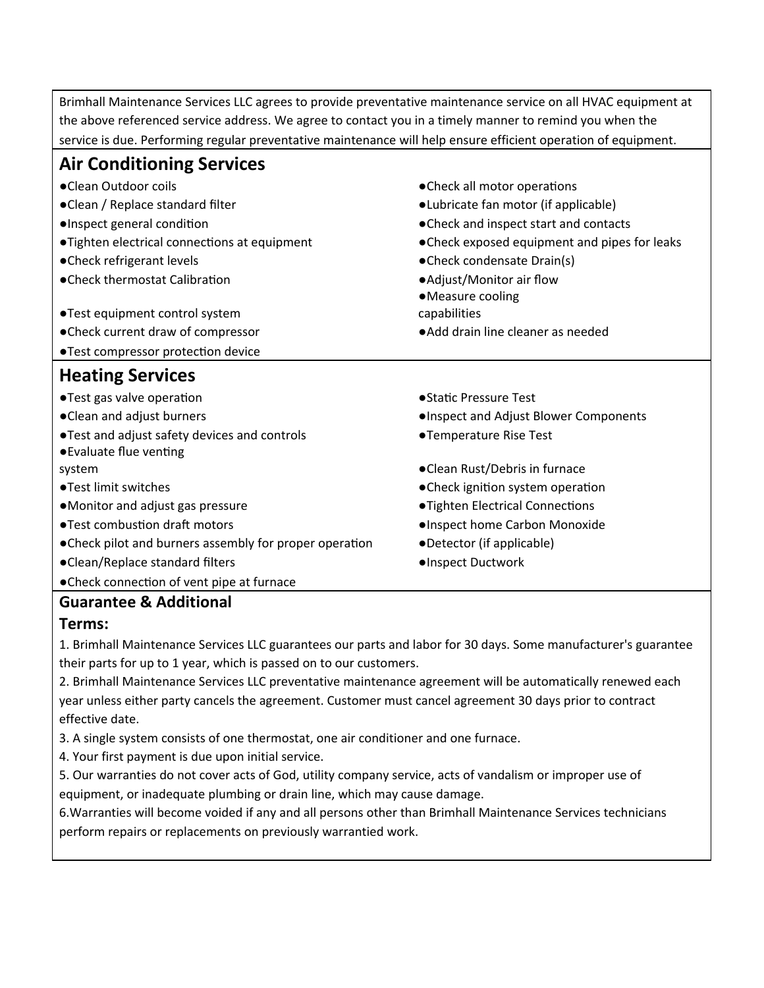Brimhall Maintenance Services LLC agrees to provide preventative maintenance service on all HVAC equipment at the above referenced service address. We agree to contact you in a timely manner to remind you when the service is due. Performing regular preventative maintenance will help ensure efficient operation of equipment.

| <b>Air Conditioning Services</b>                                         |                                               |  |  |
|--------------------------------------------------------------------------|-----------------------------------------------|--|--|
| •Clean Outdoor coils                                                     | • Check all motor operations                  |  |  |
| •Clean / Replace standard filter                                         | ·Lubricate fan motor (if applicable)          |  |  |
| ·Inspect general condition                                               | • Check and inspect start and contacts        |  |  |
| • Tighten electrical connections at equipment                            | • Check exposed equipment and pipes for leaks |  |  |
| • Check refrigerant levels                                               | •Check condensate Drain(s)                    |  |  |
| • Check thermostat Calibration                                           | • Adjust/Monitor air flow<br>•Measure cooling |  |  |
| •Test equipment control system                                           | capabilities                                  |  |  |
| • Check current draw of compressor                                       | • Add drain line cleaner as needed            |  |  |
| ·Test compressor protection device                                       |                                               |  |  |
| <b>Heating Services</b>                                                  |                                               |  |  |
| •Test gas valve operation                                                | ● Static Pressure Test                        |  |  |
| • Clean and adjust burners                                               | . Inspect and Adjust Blower Components        |  |  |
| . Test and adjust safety devices and controls<br>● Evaluate flue venting | ●Temperature Rise Test                        |  |  |
| system                                                                   | •Clean Rust/Debris in furnace                 |  |  |
| ● Test limit switches                                                    | • Check ignition system operation             |  |  |
| •Monitor and adjust gas pressure                                         | ·Tighten Electrical Connections               |  |  |
| ● Test combustion draft motors                                           | . Inspect home Carbon Monoxide                |  |  |
| • Check pilot and burners assembly for proper operation                  | •Detector (if applicable)                     |  |  |
| •Clean/Replace standard filters                                          | ·Inspect Ductwork                             |  |  |
| • Check connection of vent pipe at furnace                               |                                               |  |  |
| Cuaranton R. Additional                                                  |                                               |  |  |

## **Guarantee & Additional**

## **Terms:**

1. Brimhall Maintenance Services LLC guarantees our parts and labor for 30 days. Some manufacturer's guarantee their parts for up to 1 year, which is passed on to our customers.

2. Brimhall Maintenance Services LLC preventative maintenance agreement will be automatically renewed each year unless either party cancels the agreement. Customer must cancel agreement 30 days prior to contract effective date.

3. A single system consists of one thermostat, one air conditioner and one furnace.

4. Your first payment is due upon initial service.

5. Our warranties do not cover acts of God, utility company service, acts of vandalism or improper use of equipment, or inadequate plumbing or drain line, which may cause damage.

6.Warranties will become voided if any and all persons other than Brimhall Maintenance Services technicians perform repairs or replacements on previously warrantied work.